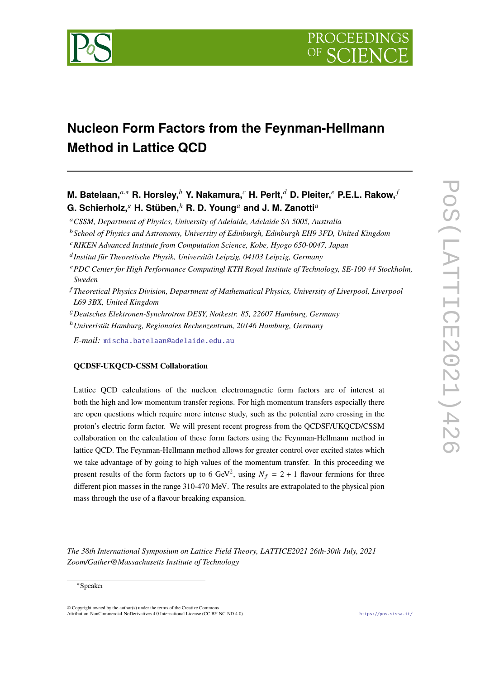

# **Nucleon Form Factors from the Feynman-Hellmann Method in Lattice QCD**

**M. Batelaan,**<sup>*a*,∗</sup> **R. Horsley,<sup>***b***</sup> Y. Nakamura,<sup>***c***</sup> H. Perlt,<sup>***d***</sup> D. Pleiter,<sup>***e***</sup> P.E.L. Rakow,<sup>***f***</sup> G. Schierholz, <sup>***s***</sup> H. Stüben, <sup>h</sup> R. D. Young<sup>a</sup> and J. M. Zanotti<sup>a</sup>** 

*CSSM, Department of Physics, University of Adelaide, Adelaide SA 5005, Australia*

*School of Physics and Astronomy, University of Edinburgh, Edinburgh EH9 3FD, United Kingdom*

*RIKEN Advanced Institute from Computation Science, Kobe, Hyogo 650-0047, Japan*

*Institut für Theoretische Physik, Universität Leipzig, 04103 Leipzig, Germany*

*PDC Center for High Performance Computingl KTH Royal Institute of Technology, SE-100 44 Stockholm, Sweden*

 *Theoretical Physics Division, Department of Mathematical Physics, University of Liverpool, Liverpool L69 3BX, United Kingdom*

*Deutsches Elektronen-Synchrotron DESY, Notkestr. 85, 22607 Hamburg, Germany* <sup>ℎ</sup>*Univeristät Hamburg, Regionales Rechenzentrum, 20146 Hamburg, Germany*

*E-mail:* [mischa.batelaan@adelaide.edu.au](mailto:mischa.batelaan@adelaide.edu.au)

# **QCDSF-UKQCD-CSSM Collaboration**

Lattice QCD calculations of the nucleon electromagnetic form factors are of interest at both the high and low momentum transfer regions. For high momentum transfers especially there are open questions which require more intense study, such as the potential zero crossing in the proton's electric form factor. We will present recent progress from the QCDSF/UKQCD/CSSM collaboration on the calculation of these form factors using the Feynman-Hellmann method in lattice QCD. The Feynman-Hellmann method allows for greater control over excited states which we take advantage of by going to high values of the momentum transfer. In this proceeding we present results of the form factors up to 6 GeV<sup>2</sup>, using  $N_f = 2 + 1$  flavour fermions for three different pion masses in the range 310-470 MeV. The results are extrapolated to the physical pion mass through the use of a flavour breaking expansion.

*The 38th International Symposium on Lattice Field Theory, LATTICE2021 26th-30th July, 2021 Zoom/Gather@Massachusetts Institute of Technology*

 $\odot$  Copyright owned by the author(s) under the terms of the Creative Common Attribution-NonCommercial-NoDerivatives 4.0 International License (CC BY-NC-ND 4.0). <https://pos.sissa.it/>

<sup>∗</sup>Speaker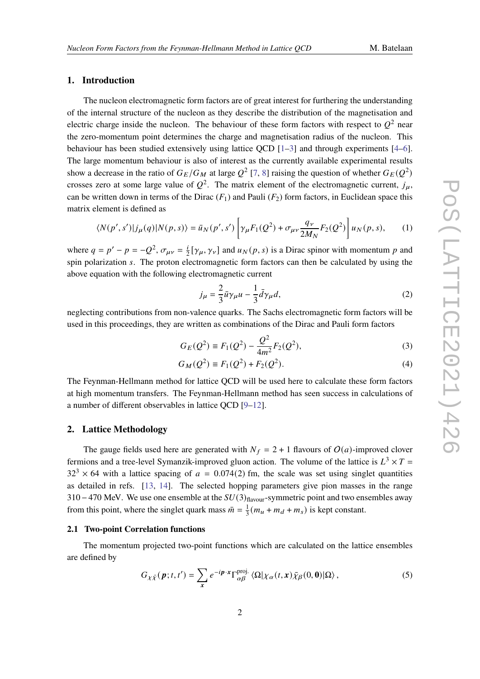#### **1. Introduction**

The nucleon electromagnetic form factors are of great interest for furthering the understanding of the internal structure of the nucleon as they describe the distribution of the magnetisation and electric charge inside the nucleon. The behaviour of these form factors with respect to  $Q^2$  near the zero-momentum point determines the charge and magnetisation radius of the nucleon. This behaviour has been studied extensively using lattice QCD  $[1-3]$  $[1-3]$  and through experiments  $[4-6]$  $[4-6]$ . The large momentum behaviour is also of interest as the currently available experimental results show a decrease in the ratio of  $G_E/G_M$  at large  $Q^2$  [\[7,](#page-8-0) [8\]](#page-8-1) raising the question of whether  $G_E(Q^2)$ crosses zero at some large value of  $Q^2$ . The matrix element of the electromagnetic current,  $j_{\mu}$ , can be written down in terms of the Dirac  $(F_1)$  and Pauli  $(F_2)$  form factors, in Euclidean space this matrix element is defined as

$$
\langle N(p',s')|j_\mu(q)|N(p,s)\rangle = \bar{u}_N(p',s')\left[\gamma_\mu F_1(Q^2) + \sigma_{\mu\nu}\frac{q_\nu}{2M_N}F_2(Q^2)\right]u_N(p,s),\tag{1}
$$

where  $q = p' - p = -Q^2$ ,  $\sigma_{\mu\nu} = \frac{i}{2} [\gamma_\mu, \gamma_\nu]$  and  $u_N(p, s)$  is a Dirac spinor with momentum p and spin polarization s. The proton electromagnetic form factors can then be calculated by using the above equation with the following electromagnetic current

$$
j_{\mu} = \frac{2}{3}\bar{u}\gamma_{\mu}u - \frac{1}{3}\bar{d}\gamma_{\mu}d,
$$
\n(2)

neglecting contributions from non-valence quarks. The Sachs electromagnetic form factors will be used in this proceedings, they are written as combinations of the Dirac and Pauli form factors

$$
G_E(Q^2) \equiv F_1(Q^2) - \frac{Q^2}{4m^2} F_2(Q^2),\tag{3}
$$

$$
G_M(Q^2) \equiv F_1(Q^2) + F_2(Q^2). \tag{4}
$$

The Feynman-Hellmann method for lattice QCD will be used here to calculate these form factors at high momentum transfers. The Feynman-Hellmann method has seen success in calculations of a number of different observables in lattice QCD [\[9](#page-8-2)[–12\]](#page-8-3).

### **2. Lattice Methodology**

The gauge fields used here are generated with  $N_f = 2 + 1$  flavours of  $O(a)$ -improved clover fermions and a tree-level Symanzik-improved gluon action. The volume of the lattice is  $L^3 \times T =$  $32<sup>3</sup> \times 64$  with a lattice spacing of  $a = 0.074(2)$  fm, the scale was set using singlet quantities as detailed in refs. [\[13,](#page-8-4) [14\]](#page-8-5). The selected hopping parameters give pion masses in the range 310−470 MeV. We use one ensemble at the  $SU(3)_{\text{flavour}}$ -symmetric point and two ensembles away from this point, where the singlet quark mass  $\bar{m} = \frac{1}{3}$  $\frac{1}{3}(m_u + m_d + m_s)$  is kept constant.

#### **2.1 Two-point Correlation functions**

The momentum projected two-point functions which are calculated on the lattice ensembles are defined by

$$
G_{\chi\bar{\chi}}(\boldsymbol{p};t,t') = \sum_{\mathbf{x}} e^{-i\boldsymbol{p}\cdot\mathbf{x}} \Gamma^{\text{proj.}}_{\alpha\beta} \langle \Omega | \chi_{\alpha}(t,\mathbf{x}) \bar{\chi}_{\beta}(0,\mathbf{0}) | \Omega \rangle, \tag{5}
$$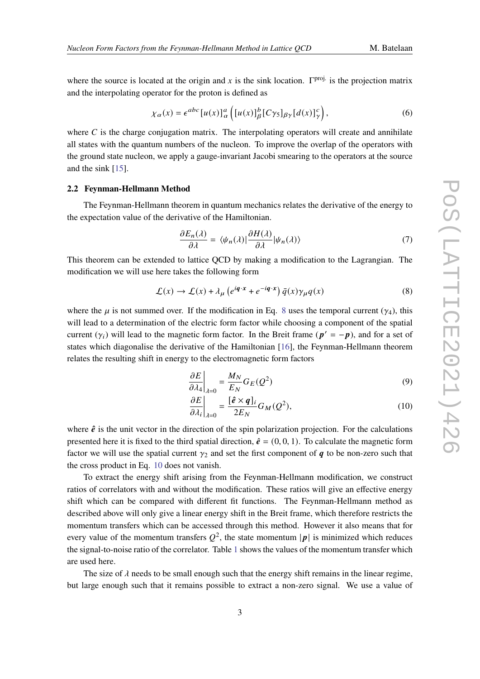where the source is located at the origin and x is the sink location.  $\Gamma^{\text{proj}}$  is the projection matrix and the interpolating operator for the proton is defined as

$$
\chi_{\alpha}(x) = \epsilon^{abc} \left[ u(x) \right]_{\alpha}^{a} \left( \left[ u(x) \right]_{\beta}^{b} \left[ C \gamma_{5} \right]_{\beta \gamma} \left[ d(x) \right]_{\gamma}^{c} \right), \tag{6}
$$

where  $C$  is the charge conjugation matrix. The interpolating operators will create and annihilate all states with the quantum numbers of the nucleon. To improve the overlap of the operators with the ground state nucleon, we apply a gauge-invariant Jacobi smearing to the operators at the source and the sink [\[15\]](#page-8-6).

#### **2.2 Feynman-Hellmann Method**

The Feynman-Hellmann theorem in quantum mechanics relates the derivative of the energy to the expectation value of the derivative of the Hamiltonian.

$$
\frac{\partial E_n(\lambda)}{\partial \lambda} = \langle \psi_n(\lambda) | \frac{\partial H(\lambda)}{\partial \lambda} | \psi_n(\lambda) \rangle \tag{7}
$$

This theorem can be extended to lattice QCD by making a modification to the Lagrangian. The modification we will use here takes the following form

<span id="page-2-0"></span>
$$
\mathcal{L}(x) \to \mathcal{L}(x) + \lambda_{\mu} \left( e^{i\boldsymbol{q} \cdot \boldsymbol{x}} + e^{-i\boldsymbol{q} \cdot \boldsymbol{x}} \right) \bar{q}(x) \gamma_{\mu} q(x) \tag{8}
$$

where the  $\mu$  is not summed over. If the modification in Eq. [8](#page-2-0) uses the temporal current ( $\gamma_4$ ), this will lead to a determination of the electric form factor while choosing a component of the spatial current  $(\gamma_i)$  will lead to the magnetic form factor. In the Breit frame  $(p' = -p)$ , and for a set of states which diagonalise the derivative of the Hamiltonian [\[16\]](#page-8-7), the Feynman-Hellmann theorem relates the resulting shift in energy to the electromagnetic form factors

<span id="page-2-2"></span>
$$
\left. \frac{\partial E}{\partial \lambda_4} \right|_{\lambda=0} = \frac{M_N}{E_N} G_E(Q^2)
$$
\n(9)

<span id="page-2-1"></span>
$$
\left. \frac{\partial E}{\partial \lambda_i} \right|_{\lambda=0} = \frac{[\hat{e} \times q]_i}{2E_N} G_M(Q^2),\tag{10}
$$

where  $\hat{e}$  is the unit vector in the direction of the spin polarization projection. For the calculations presented here it is fixed to the third spatial direction,  $\hat{e} = (0, 0, 1)$ . To calculate the magnetic form factor we will use the spatial current  $\gamma_2$  and set the first component of  $q$  to be non-zero such that the cross product in Eq. [10](#page-2-1) does not vanish.

To extract the energy shift arising from the Feynman-Hellmann modification, we construct ratios of correlators with and without the modification. These ratios will give an effective energy shift which can be compared with different fit functions. The Feynman-Hellmann method as described above will only give a linear energy shift in the Breit frame, which therefore restricts the momentum transfers which can be accessed through this method. However it also means that for every value of the momentum transfers  $Q^2$ , the state momentum  $|p|$  is minimized which reduces the signal-to-noise ratio of the correlator. Table [1](#page-3-0) shows the values of the momentum transfer which are used here.

The size of  $\lambda$  needs to be small enough such that the energy shift remains in the linear regime, but large enough such that it remains possible to extract a non-zero signal. We use a value of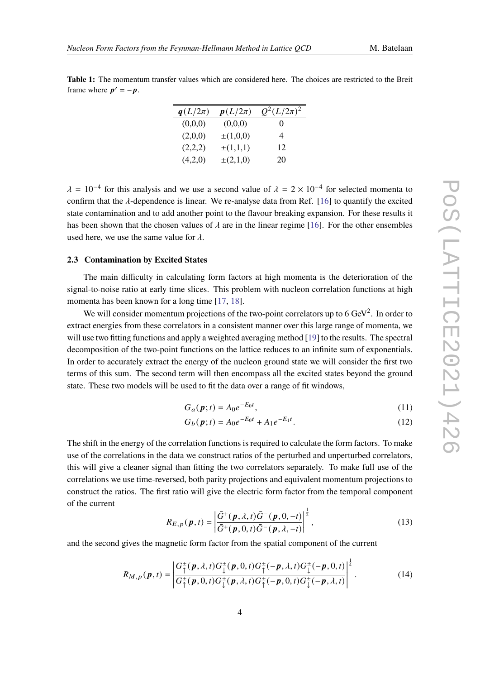<span id="page-3-0"></span>**Table 1:** The momentum transfer values which are considered here. The choices are restricted to the Breit frame where  $p' = -p$ .

| $q(L/2\pi)$ | $p(L/2\pi)$   | $Q^2(L/2\pi)^2$ |
|-------------|---------------|-----------------|
| (0,0,0)     | (0,0,0)       | 0               |
| (2,0,0)     | $\pm(1,0,0)$  | 4               |
| (2,2,2)     | $\pm(1,1,1)$  | 12              |
| (4,2,0)     | $\pm (2,1,0)$ | 20              |

 $\lambda = 10^{-4}$  for this analysis and we use a second value of  $\lambda = 2 \times 10^{-4}$  for selected momenta to confirm that the  $\lambda$ -dependence is linear. We re-analyse data from Ref. [\[16\]](#page-8-7) to quantify the excited state contamination and to add another point to the flavour breaking expansion. For these results it has been shown that the chosen values of  $\lambda$  are in the linear regime [\[16\]](#page-8-7). For the other ensembles used here, we use the same value for  $\lambda$ .

#### **2.3 Contamination by Excited States**

The main difficulty in calculating form factors at high momenta is the deterioration of the signal-to-noise ratio at early time slices. This problem with nucleon correlation functions at high momenta has been known for a long time [\[17,](#page-8-8) [18\]](#page-8-9).

We will consider momentum projections of the two-point correlators up to 6  $\text{GeV}^2$ . In order to extract energies from these correlators in a consistent manner over this large range of momenta, we will use two fitting functions and apply a weighted averaging method [\[19\]](#page-8-10) to the results. The spectral decomposition of the two-point functions on the lattice reduces to an infinite sum of exponentials. In order to accurately extract the energy of the nucleon ground state we will consider the first two terms of this sum. The second term will then encompass all the excited states beyond the ground state. These two models will be used to fit the data over a range of fit windows,

$$
G_a(\boldsymbol{p};t) = A_0 e^{-E_0 t},\tag{11}
$$

<span id="page-3-1"></span>
$$
G_b(\mathbf{p};t) = A_0 e^{-E_0 t} + A_1 e^{-E_1 t}.
$$
 (12)

The shift in the energy of the correlation functions is required to calculate the form factors. To make use of the correlations in the data we construct ratios of the perturbed and unperturbed correlators, this will give a cleaner signal than fitting the two correlators separately. To make full use of the correlations we use time-reversed, both parity projections and equivalent momentum projections to construct the ratios. The first ratio will give the electric form factor from the temporal component of the current

$$
R_{E,p}(\boldsymbol{p},t) = \left| \frac{\bar{G}^{+}(\boldsymbol{p},\lambda,t)\bar{G}^{-}(\boldsymbol{p},0,-t)}{\bar{G}^{+}(\boldsymbol{p},0,t)\bar{G}^{-}(\boldsymbol{p},\lambda,-t)} \right|^{2},
$$
\n(13)

and the second gives the magnetic form factor from the spatial component of the current

$$
R_{M,p}(p,t) = \left| \frac{G_{\uparrow}^{\pm}(p,\lambda,t)G_{\downarrow}^{\pm}(p,0,t)G_{\uparrow}^{\pm}(-p,\lambda,t)G_{\downarrow}^{\pm}(-p,0,t)}{G_{\uparrow}^{\pm}(p,0,t)G_{\downarrow}^{\pm}(p,\lambda,t)G_{\uparrow}^{\pm}(-p,0,t)G_{\downarrow}^{\pm}(-p,\lambda,t)} \right|^{\frac{1}{4}}.
$$
(14)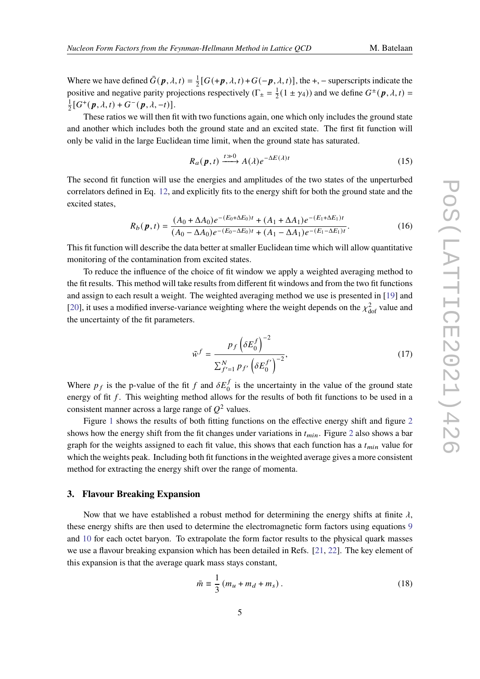Where we have defined  $\bar{G}(\boldsymbol{p}, \lambda, t) = \frac{1}{2}$  $\frac{1}{2}[G(+p,\lambda,t)+G(-p,\lambda,t)]$ , the +, – superscripts indicate the positive and negative parity projections respectively ( $\Gamma_{\pm} = \frac{1}{2}$  $\frac{1}{2}(1 \pm \gamma_4)$  and we define  $G^{\pm}(\mathbf{p}, \lambda, t)$  = 1  $\frac{1}{2}[G^+(p, \lambda, t) + G^-(p, \lambda, -t)].$ 

These ratios we will then fit with two functions again, one which only includes the ground state and another which includes both the ground state and an excited state. The first fit function will only be valid in the large Euclidean time limit, when the ground state has saturated.

$$
R_a(p,t) \xrightarrow{t \gg 0} A(\lambda)e^{-\Delta E(\lambda)t}
$$
 (15)

The second fit function will use the energies and amplitudes of the two states of the unperturbed correlators defined in Eq. [12,](#page-3-1) and explicitly fits to the energy shift for both the ground state and the excited states,

$$
R_b(p,t) = \frac{(A_0 + \Delta A_0)e^{-(E_0 + \Delta E_0)t} + (A_1 + \Delta A_1)e^{-(E_1 + \Delta E_1)t}}{(A_0 - \Delta A_0)e^{-(E_0 - \Delta E_0)t} + (A_1 - \Delta A_1)e^{-(E_1 - \Delta E_1)t}}.
$$
(16)

This fit function will describe the data better at smaller Euclidean time which will allow quantitative monitoring of the contamination from excited states.

To reduce the influence of the choice of fit window we apply a weighted averaging method to the fit results. This method will take results from different fit windows and from the two fit functions and assign to each result a weight. The weighted averaging method we use is presented in [\[19\]](#page-8-10) and [\[20\]](#page-8-11), it uses a modified inverse-variance weighting where the weight depends on the  $\chi^2_{\rm dof}$  value and the uncertainty of the fit parameters.

$$
\tilde{w}^f = \frac{p_f \left(\delta E_0^f\right)^{-2}}{\sum_{f'=1}^N p_{f'} \left(\delta E_0^{f'}\right)^{-2}},\tag{17}
$$

Where  $p_f$  is the p-value of the fit f and  $\delta E_0^f$  is the uncertainty in the value of the ground state energy of fit  $f$ . This weighting method allows for the results of both fit functions to be used in a consistent manner across a large range of  $O^2$  values.

Figure [1](#page-5-0) shows the results of both fitting functions on the effective energy shift and figure [2](#page-5-1) shows how the energy shift from the fit changes under variations in  $t_{min}$ . Figure [2](#page-5-1) also shows a bar graph for the weights assigned to each fit value, this shows that each function has a  $t_{min}$  value for which the weights peak. Including both fit functions in the weighted average gives a more consistent method for extracting the energy shift over the range of momenta.

#### **3. Flavour Breaking Expansion**

Now that we have established a robust method for determining the energy shifts at finite  $\lambda$ , these energy shifts are then used to determine the electromagnetic form factors using equations [9](#page-2-2) and [10](#page-2-1) for each octet baryon. To extrapolate the form factor results to the physical quark masses we use a flavour breaking expansion which has been detailed in Refs. [\[21,](#page-8-12) [22\]](#page-8-13). The key element of this expansion is that the average quark mass stays constant,

$$
\bar{m} \equiv \frac{1}{3} \left( m_u + m_d + m_s \right). \tag{18}
$$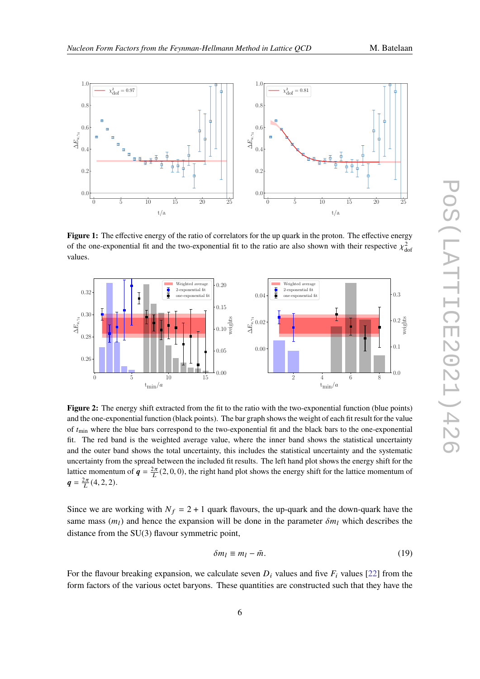<span id="page-5-0"></span>

Figure 1: The effective energy of the ratio of correlators for the up quark in the proton. The effective energy of the one-exponential fit and the two-exponential fit to the ratio are also shown with their respective  $\chi^2_{\text{dot}}$ values.

<span id="page-5-1"></span>

**Figure 2:** The energy shift extracted from the fit to the ratio with the two-exponential function (blue points) and the one-exponential function (black points). The bar graph shows the weight of each fit result for the value of  $t_{\text{min}}$  where the blue bars correspond to the two-exponential fit and the black bars to the one-exponential fit. The red band is the weighted average value, where the inner band shows the statistical uncertainty and the outer band shows the total uncertainty, this includes the statistical uncertainty and the systematic uncertainty from the spread between the included fit results. The left hand plot shows the energy shift for the lattice momentum of  $q = \frac{2\pi}{L}(2,0,0)$ , the right hand plot shows the energy shift for the lattice momentum of  $q = \frac{2\pi}{L}(4, 2, 2).$ 

Since we are working with  $N_f = 2 + 1$  quark flavours, the up-quark and the down-quark have the same mass  $(m_l)$  and hence the expansion will be done in the parameter  $\delta m_l$  which describes the distance from the SU(3) flavour symmetric point,

$$
\delta m_l \equiv m_l - \bar{m}.\tag{19}
$$

For the flavour breaking expansion, we calculate seven  $D_i$  values and five  $F_i$  values [\[22\]](#page-8-13) from the form factors of the various octet baryons. These quantities are constructed such that they have the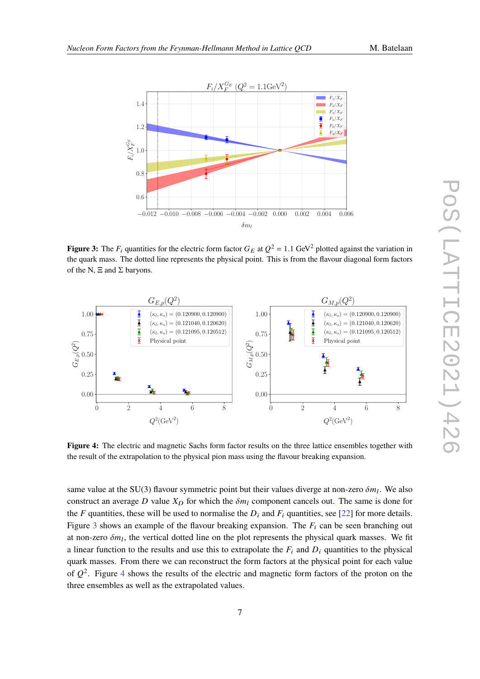<span id="page-6-0"></span>

**Figure 3:** The  $F_i$  quantities for the electric form factor  $G_E$  at  $Q^2 = 1.1$  GeV<sup>2</sup> plotted against the variation in the quark mass. The dotted line represents the physical point. This is from the flavour diagonal form factors of the N,  $\Xi$  and  $\Sigma$  baryons.

<span id="page-6-1"></span>

**Figure 4:** The electric and magnetic Sachs form factor results on the three lattice ensembles together with the result of the extrapolation to the physical pion mass using the flavour breaking expansion.

same value at the SU(3) flavour symmetric point but their values diverge at non-zero  $\delta m_l$ . We also construct an average D value  $X_D$  for which the  $\delta m_l$  component cancels out. The same is done for the  $F$  quantities, these will be used to normalise the  $D_i$  and  $F_i$  quantities, see [\[22\]](#page-8-13) for more details. Figure [3](#page-6-0) shows an example of the flavour breaking expansion. The  $F_i$  can be seen branching out at non-zero  $\delta m_l$ , the vertical dotted line on the plot represents the physical quark masses. We fit a linear function to the results and use this to extrapolate the  $F_i$  and  $D_i$  quantities to the physical quark masses. From there we can reconstruct the form factors at the physical point for each value of  $Q^2$ . Figure [4](#page-6-1) shows the results of the electric and magnetic form factors of the proton on the three ensembles as well as the extrapolated values.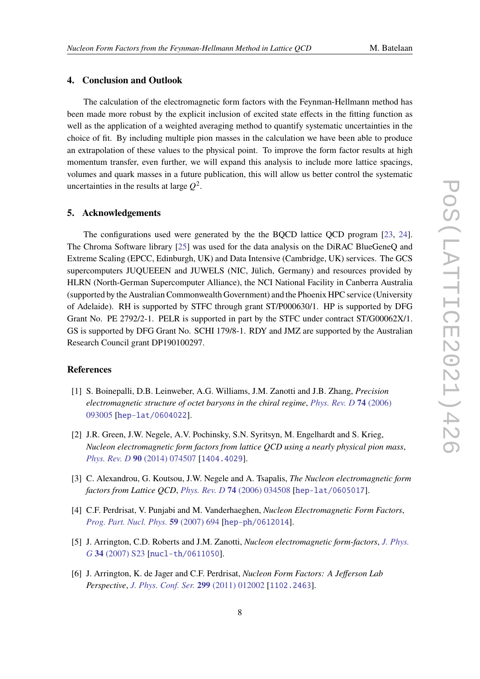# **4. Conclusion and Outlook**

The calculation of the electromagnetic form factors with the Feynman-Hellmann method has been made more robust by the explicit inclusion of excited state effects in the fitting function as well as the application of a weighted averaging method to quantify systematic uncertainties in the choice of fit. By including multiple pion masses in the calculation we have been able to produce an extrapolation of these values to the physical point. To improve the form factor results at high momentum transfer, even further, we will expand this analysis to include more lattice spacings, volumes and quark masses in a future publication, this will allow us better control the systematic uncertainties in the results at large  $Q^2$ .

#### **5. Acknowledgements**

The configurations used were generated by the the BQCD lattice QCD program [\[23,](#page-9-0) [24\]](#page-9-1). The Chroma Software library [\[25\]](#page-9-2) was used for the data analysis on the DiRAC BlueGeneQ and Extreme Scaling (EPCC, Edinburgh, UK) and Data Intensive (Cambridge, UK) services. The GCS supercomputers JUQUEEEN and JUWELS (NIC, Jülich, Germany) and resources provided by HLRN (North-German Supercomputer Alliance), the NCI National Facility in Canberra Australia (supported by the Australian Commonwealth Government) and the Phoenix HPC service (University of Adelaide). RH is supported by STFC through grant ST/P000630/1. HP is supported by DFG Grant No. PE 2792/2-1. PELR is supported in part by the STFC under contract ST/G00062X/1. GS is supported by DFG Grant No. SCHI 179/8-1. RDY and JMZ are supported by the Australian Research Council grant DP190100297.

# **References**

- <span id="page-7-0"></span>[1] S. Boinepalli, D.B. Leinweber, A.G. Williams, J.M. Zanotti and J.B. Zhang, *Precision electromagnetic structure of octet baryons in the chiral regime*, *[Phys. Rev. D](https://doi.org/10.1103/PhysRevD.74.093005)* **74** (2006) [093005](https://doi.org/10.1103/PhysRevD.74.093005) [[hep-lat/0604022](https://arxiv.org/abs/hep-lat/0604022)].
- [2] J.R. Green, J.W. Negele, A.V. Pochinsky, S.N. Syritsyn, M. Engelhardt and S. Krieg, *Nucleon electromagnetic form factors from lattice QCD using a nearly physical pion mass*, *[Phys. Rev. D](https://doi.org/10.1103/PhysRevD.90.074507)* **90** (2014) 074507 [[1404.4029](https://arxiv.org/abs/1404.4029)].
- <span id="page-7-1"></span>[3] C. Alexandrou, G. Koutsou, J.W. Negele and A. Tsapalis, *The Nucleon electromagnetic form factors from Lattice QCD*, *[Phys. Rev. D](https://doi.org/10.1103/PhysRevD.74.034508)* **74** (2006) 034508 [[hep-lat/0605017](https://arxiv.org/abs/hep-lat/0605017)].
- <span id="page-7-2"></span>[4] C.F. Perdrisat, V. Punjabi and M. Vanderhaeghen, *Nucleon Electromagnetic Form Factors*, *[Prog. Part. Nucl. Phys.](https://doi.org/10.1016/j.ppnp.2007.05.001)* **59** (2007) 694 [[hep-ph/0612014](https://arxiv.org/abs/hep-ph/0612014)].
- [5] J. Arrington, C.D. Roberts and J.M. Zanotti, *Nucleon electromagnetic form-factors*, *[J. Phys.](https://doi.org/10.1088/0954-3899/34/7/S03) G* **34** [\(2007\) S23](https://doi.org/10.1088/0954-3899/34/7/S03) [[nucl-th/0611050](https://arxiv.org/abs/nucl-th/0611050)].
- <span id="page-7-3"></span>[6] J. Arrington, K. de Jager and C.F. Perdrisat, *Nucleon Form Factors: A Jefferson Lab Perspective*, *[J. Phys. Conf. Ser.](https://doi.org/10.1088/1742-6596/299/1/012002)* **299** (2011) 012002 [[1102.2463](https://arxiv.org/abs/1102.2463)].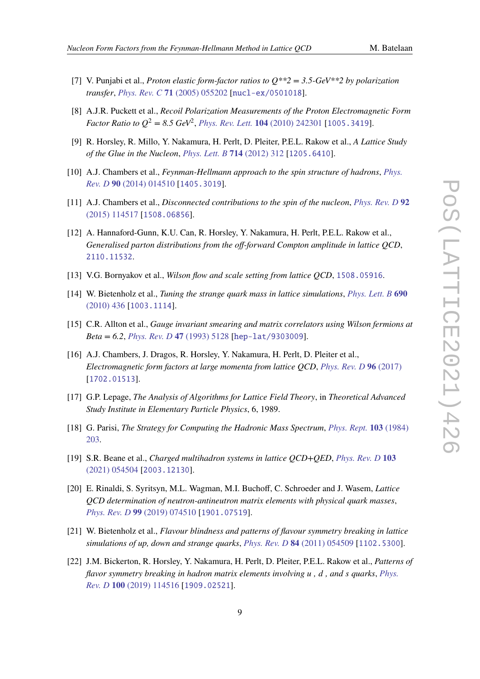- 
- <span id="page-8-0"></span>[7] V. Punjabi et al., *Proton elastic form-factor ratios to Q\*\*2 = 3.5-GeV\*\*2 by polarization transfer*, *[Phys. Rev. C](https://doi.org/10.1103/PhysRevC.71.055202)* **71** (2005) 055202 [[nucl-ex/0501018](https://arxiv.org/abs/nucl-ex/0501018)].
- <span id="page-8-1"></span>[8] A.J.R. Puckett et al., *Recoil Polarization Measurements of the Proton Electromagnetic Form Factor Ratio to*  $Q^2 = 8.5$   $GeV^2$ , *[Phys. Rev. Lett.](https://doi.org/10.1103/PhysRevLett.104.242301)* **104** (2010) 242301 [[1005.3419](https://arxiv.org/abs/1005.3419)].
- <span id="page-8-2"></span>[9] R. Horsley, R. Millo, Y. Nakamura, H. Perlt, D. Pleiter, P.E.L. Rakow et al., *A Lattice Study of the Glue in the Nucleon*, *[Phys. Lett. B](https://doi.org/10.1016/j.physletb.2012.07.004)* **714** (2012) 312 [[1205.6410](https://arxiv.org/abs/1205.6410)].
- [10] A.J. Chambers et al., *Feynman-Hellmann approach to the spin structure of hadrons*, *[Phys.](https://doi.org/10.1103/PhysRevD.90.014510) Rev. D* **90** [\(2014\) 014510](https://doi.org/10.1103/PhysRevD.90.014510) [[1405.3019](https://arxiv.org/abs/1405.3019)].
- [11] A.J. Chambers et al., *Disconnected contributions to the spin of the nucleon*, *[Phys. Rev. D](https://doi.org/10.1103/PhysRevD.92.114517)* **92** [\(2015\) 114517](https://doi.org/10.1103/PhysRevD.92.114517) [[1508.06856](https://arxiv.org/abs/1508.06856)].
- <span id="page-8-3"></span>[12] A. Hannaford-Gunn, K.U. Can, R. Horsley, Y. Nakamura, H. Perlt, P.E.L. Rakow et al., *Generalised parton distributions from the off-forward Compton amplitude in lattice QCD*, [2110.11532](https://arxiv.org/abs/2110.11532).
- <span id="page-8-4"></span>[13] V.G. Bornyakov et al., *Wilson flow and scale setting from lattice QCD*, [1508.05916](https://arxiv.org/abs/1508.05916).
- <span id="page-8-5"></span>[14] W. Bietenholz et al., *Tuning the strange quark mass in lattice simulations*, *[Phys. Lett. B](https://doi.org/10.1016/j.physletb.2010.05.067)* **690** [\(2010\) 436](https://doi.org/10.1016/j.physletb.2010.05.067) [[1003.1114](https://arxiv.org/abs/1003.1114)].
- <span id="page-8-6"></span>[15] C.R. Allton et al., *Gauge invariant smearing and matrix correlators using Wilson fermions at Beta = 6.2*, *[Phys. Rev. D](https://doi.org/10.1103/PhysRevD.47.5128)* **47** (1993) 5128 [[hep-lat/9303009](https://arxiv.org/abs/hep-lat/9303009)].
- <span id="page-8-7"></span>[16] A.J. Chambers, J. Dragos, R. Horsley, Y. Nakamura, H. Perlt, D. Pleiter et al., *Electromagnetic form factors at large momenta from lattice QCD*, *[Phys. Rev. D](https://doi.org/10.1103/physrevd.96.114509)* **96** (2017) [[1702.01513](https://arxiv.org/abs/1702.01513)].
- <span id="page-8-8"></span>[17] G.P. Lepage, *The Analysis of Algorithms for Lattice Field Theory*, in *Theoretical Advanced Study Institute in Elementary Particle Physics*, 6, 1989.
- <span id="page-8-9"></span>[18] G. Parisi, *The Strategy for Computing the Hadronic Mass Spectrum*, *[Phys. Rept.](https://doi.org/10.1016/0370-1573(84)90081-4)* **103** (1984) [203.](https://doi.org/10.1016/0370-1573(84)90081-4)
- <span id="page-8-10"></span>[19] S.R. Beane et al., *Charged multihadron systems in lattice QCD+QED*, *[Phys. Rev. D](https://doi.org/10.1103/PhysRevD.103.054504)* **103** [\(2021\) 054504](https://doi.org/10.1103/PhysRevD.103.054504) [[2003.12130](https://arxiv.org/abs/2003.12130)].
- <span id="page-8-11"></span>[20] E. Rinaldi, S. Syritsyn, M.L. Wagman, M.I. Buchoff, C. Schroeder and J. Wasem, *Lattice QCD determination of neutron-antineutron matrix elements with physical quark masses*, *[Phys. Rev. D](https://doi.org/10.1103/PhysRevD.99.074510)* **99** (2019) 074510 [[1901.07519](https://arxiv.org/abs/1901.07519)].
- <span id="page-8-12"></span>[21] W. Bietenholz et al., *Flavour blindness and patterns of flavour symmetry breaking in lattice simulations of up, down and strange quarks*, *[Phys. Rev. D](https://doi.org/10.1103/PhysRevD.84.054509)* **84** (2011) 054509 [[1102.5300](https://arxiv.org/abs/1102.5300)].
- <span id="page-8-13"></span>[22] J.M. Bickerton, R. Horsley, Y. Nakamura, H. Perlt, D. Pleiter, P.E.L. Rakow et al., *Patterns of flavor symmetry breaking in hadron matrix elements involving , , and quarks*, *[Phys.](https://doi.org/10.1103/PhysRevD.100.114516) Rev. D* **100** [\(2019\) 114516](https://doi.org/10.1103/PhysRevD.100.114516) [[1909.02521](https://arxiv.org/abs/1909.02521)].